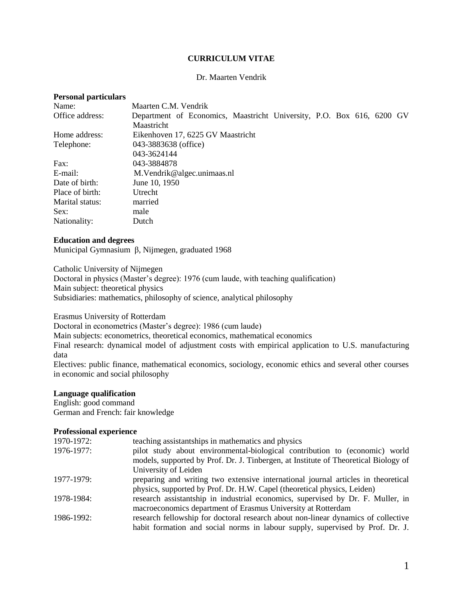# **CURRICULUM VITAE**

## Dr. Maarten Vendrik

## **Personal particulars**

| Name:           | Maarten C.M. Vendrik                                                  |
|-----------------|-----------------------------------------------------------------------|
| Office address: | Department of Economics, Maastricht University, P.O. Box 616, 6200 GV |
|                 | Maastricht                                                            |
| Home address:   | Eikenhoven 17, 6225 GV Maastricht                                     |
| Telephone:      | 043-3883638 (office)                                                  |
|                 | 043-3624144                                                           |
| Fax:            | 043-3884878                                                           |
| E-mail:         | M. Vendrik@algec.unimaas.nl                                           |
| Date of birth:  | June 10, 1950                                                         |
| Place of birth: | Utrecht                                                               |
| Marital status: | married                                                               |
| Sex:            | male                                                                  |
| Nationality:    | Dutch                                                                 |

### **Education and degrees**

Municipal Gymnasium β, Nijmegen, graduated 1968

Catholic University of Nijmegen

Doctoral in physics (Master's degree): 1976 (cum laude, with teaching qualification) Main subject: theoretical physics Subsidiaries: mathematics, philosophy of science, analytical philosophy

Erasmus University of Rotterdam

Doctoral in econometrics (Master's degree): 1986 (cum laude)

Main subjects: econometrics, theoretical economics, mathematical economics

Final research: dynamical model of adjustment costs with empirical application to U.S. manufacturing data

Electives: public finance, mathematical economics, sociology, economic ethics and several other courses in economic and social philosophy

### **Language qualification**

English: good command German and French: fair knowledge

## **Professional experience**

| 1970-1972: | teaching assistantships in mathematics and physics                                  |
|------------|-------------------------------------------------------------------------------------|
| 1976-1977: | pilot study about environmental-biological contribution to (economic) world         |
|            | models, supported by Prof. Dr. J. Tinbergen, at Institute of Theoretical Biology of |
|            | University of Leiden                                                                |
| 1977-1979: | preparing and writing two extensive international journal articles in theoretical   |
|            | physics, supported by Prof. Dr. H.W. Capel (theoretical physics, Leiden)            |
| 1978-1984: | research assistantship in industrial economics, supervised by Dr. F. Muller, in     |
|            | macroeconomics department of Erasmus University at Rotterdam                        |
| 1986-1992: | research fellowship for doctoral research about non-linear dynamics of collective   |
|            | habit formation and social norms in labour supply, supervised by Prof. Dr. J.       |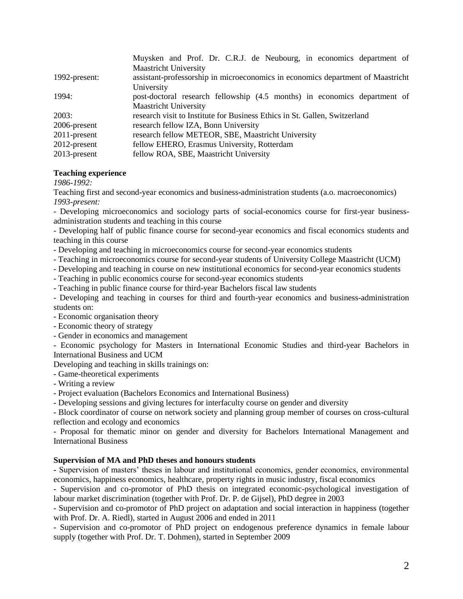|                 | Muysken and Prof. Dr. C.R.J. de Neubourg, in economics department of            |
|-----------------|---------------------------------------------------------------------------------|
|                 | <b>Maastricht University</b>                                                    |
| 1992-present:   | assistant-professorship in microeconomics in economics department of Maastricht |
|                 | University                                                                      |
| 1994:           | post-doctoral research fellowship (4.5 months) in economics department of       |
|                 | <b>Maastricht University</b>                                                    |
| 2003:           | research visit to Institute for Business Ethics in St. Gallen, Switzerland      |
| 2006-present    | research fellow IZA, Bonn University                                            |
| $2011$ -present | research fellow METEOR, SBE, Maastricht University                              |
| $2012$ -present | fellow EHERO, Erasmus University, Rotterdam                                     |
| $2013$ -present | fellow ROA, SBE, Maastricht University                                          |

## **Teaching experience**

*1986-1992:*

Teaching first and second-year economics and business-administration students (a.o. macroeconomics) *1993-present:* 

- Developing microeconomics and sociology parts of social-economics course for first-year businessadministration students and teaching in this course

- Developing half of public finance course for second-year economics and fiscal economics students and teaching in this course

- Developing and teaching in microeconomics course for second-year economics students
- Teaching in microeconomics course for second-year students of University College Maastricht (UCM)
- Developing and teaching in course on new institutional economics for second-year economics students
- Teaching in public economics course for second-year economics students
- Teaching in public finance course for third-year Bachelors fiscal law students

- Developing and teaching in courses for third and fourth-year economics and business-administration students on:

- Economic organisation theory
- Economic theory of strategy
- Gender in economics and management

- Economic psychology for Masters in International Economic Studies and third-year Bachelors in International Business and UCM

Developing and teaching in skills trainings on:

- Game-theoretical experiments
- Writing a review
- Project evaluation (Bachelors Economics and International Business)
- Developing sessions and giving lectures for interfaculty course on gender and diversity

- Block coordinator of course on network society and planning group member of courses on cross-cultural reflection and ecology and economics

- Proposal for thematic minor on gender and diversity for Bachelors International Management and International Business

### **Supervision of MA and PhD theses and honours students**

**-** Supervision of masters' theses in labour and institutional economics, gender economics, environmental economics, happiness economics, healthcare, property rights in music industry, fiscal economics

- Supervision and co-promotor of PhD thesis on integrated economic-psychological investigation of labour market discrimination (together with Prof. Dr. P. de Gijsel), PhD degree in 2003

- Supervision and co-promotor of PhD project on adaptation and social interaction in happiness (together with Prof. Dr. A. Riedl), started in August 2006 and ended in 2011

- Supervision and co-promotor of PhD project on endogenous preference dynamics in female labour supply (together with Prof. Dr. T. Dohmen), started in September 2009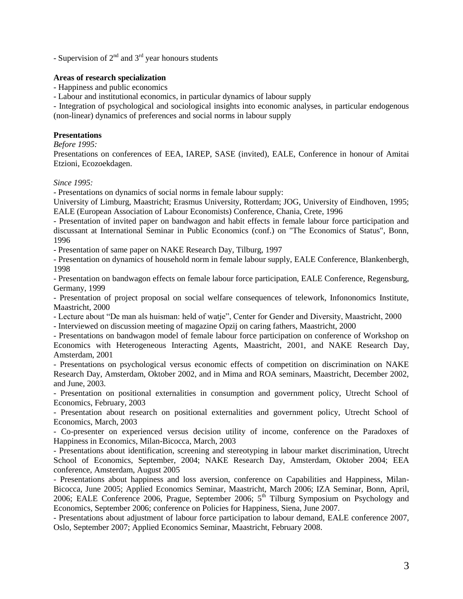- Supervision of  $2<sup>nd</sup>$  and  $3<sup>rd</sup>$  year honours students

# **Areas of research specialization**

- Happiness and public economics

- Labour and institutional economics, in particular dynamics of labour supply

- Integration of psychological and sociological insights into economic analyses, in particular endogenous (non-linear) dynamics of preferences and social norms in labour supply

# **Presentations**

*Before 1995:*

Presentations on conferences of EEA, IAREP, SASE (invited), EALE, Conference in honour of Amitai Etzioni, Ecozoekdagen.

*Since 1995:*

- Presentations on dynamics of social norms in female labour supply:

University of Limburg, Maastricht; Erasmus University, Rotterdam; JOG, University of Eindhoven, 1995; EALE (European Association of Labour Economists) Conference, Chania, Crete, 1996

- Presentation of invited paper on bandwagon and habit effects in female labour force participation and discussant at International Seminar in Public Economics (conf.) on "The Economics of Status", Bonn, 1996

- Presentation of same paper on NAKE Research Day, Tilburg, 1997

- Presentation on dynamics of household norm in female labour supply, EALE Conference, Blankenbergh, 1998

- Presentation on bandwagon effects on female labour force participation, EALE Conference, Regensburg, Germany, 1999

- Presentation of project proposal on social welfare consequences of telework, Infononomics Institute, Maastricht, 2000

- Lecture about "De man als huisman: held of watje", Center for Gender and Diversity, Maastricht, 2000

- Interviewed on discussion meeting of magazine Opzij on caring fathers, Maastricht, 2000

- Presentations on bandwagon model of female labour force participation on conference of Workshop on Economics with Heterogeneous Interacting Agents, Maastricht, 2001, and NAKE Research Day, Amsterdam, 2001

- Presentations on psychological versus economic effects of competition on discrimination on NAKE Research Day, Amsterdam, Oktober 2002, and in Mima and ROA seminars, Maastricht, December 2002, and June, 2003.

- Presentation on positional externalities in consumption and government policy, Utrecht School of Economics, February, 2003

- Presentation about research on positional externalities and government policy, Utrecht School of Economics, March, 2003

- Co-presenter on experienced versus decision utility of income, conference on the Paradoxes of Happiness in Economics, Milan-Bicocca, March, 2003

- Presentations about identification, screening and stereotyping in labour market discrimination, Utrecht School of Economics, September, 2004; NAKE Research Day, Amsterdam, Oktober 2004; EEA conference, Amsterdam, August 2005

- Presentations about happiness and loss aversion, conference on Capabilities and Happiness, Milan-Bicocca, June 2005; Applied Economics Seminar, Maastricht, March 2006; IZA Seminar, Bonn, April, 2006; EALE Conference 2006, Prague, September 2006;  $5<sup>th</sup>$  Tilburg Symposium on Psychology and Economics, September 2006; conference on Policies for Happiness, Siena, June 2007.

- Presentations about adjustment of labour force participation to labour demand, EALE conference 2007, Oslo, September 2007; Applied Economics Seminar, Maastricht, February 2008.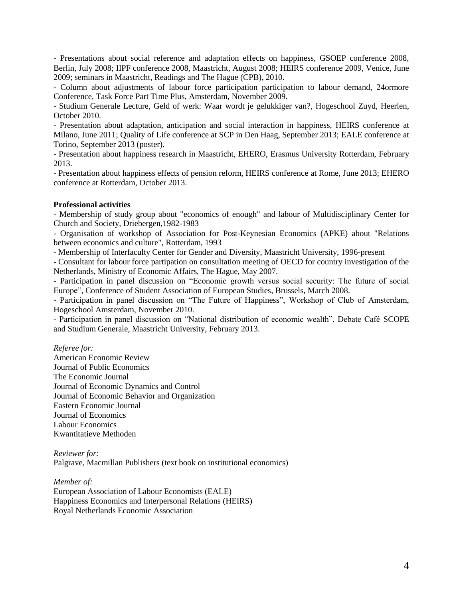- Presentations about social reference and adaptation effects on happiness, GSOEP conference 2008, Berlin, July 2008; IIPF conference 2008, Maastricht, August 2008; HEIRS conference 2009, Venice, June 2009; seminars in Maastricht, Readings and The Hague (CPB), 2010.

- Column about adjustments of labour force participation participation to labour demand, 24ormore Conference, Task Force Part Time Plus, Amsterdam, November 2009.

- Studium Generale Lecture, Geld of werk: Waar wordt je gelukkiger van?, Hogeschool Zuyd, Heerlen, October 2010.

- Presentation about adaptation, anticipation and social interaction in happiness, HEIRS conference at Milano, June 2011; Quality of Life conference at SCP in Den Haag, September 2013; EALE conference at Torino, September 2013 (poster).

- Presentation about happiness research in Maastricht, EHERO, Erasmus University Rotterdam, February 2013.

- Presentation about happiness effects of pension reform, HEIRS conference at Rome, June 2013; EHERO conference at Rotterdam, October 2013.

## **Professional activities**

- Membership of study group about "economics of enough" and labour of Multidisciplinary Center for Church and Society, Driebergen,1982-1983

- Organisation of workshop of Association for Post-Keynesian Economics (APKE) about "Relations between economics and culture", Rotterdam, 1993

- Membership of Interfaculty Center for Gender and Diversity, Maastricht University, 1996-present

- Consultant for labour force partipation on consultation meeting of OECD for country investigation of the Netherlands, Ministry of Economic Affairs, The Hague, May 2007.

- Participation in panel discussion on "Economic growth versus social security: The future of social Europe", Conference of Student Association of European Studies, Brussels, March 2008.

- Participation in panel discussion on "The Future of Happiness", Workshop of Club of Amsterdam, Hogeschool Amsterdam, November 2010.

- Participation in panel discussion on "National distribution of economic wealth", Debate Café SCOPE and Studium Generale, Maastricht University, February 2013.

*Referee for:*

American Economic Review Journal of Public Economics The Economic Journal Journal of Economic Dynamics and Control Journal of Economic Behavior and Organization Eastern Economic Journal Journal of Economics Labour Economics Kwantitatieve Methoden

*Reviewer for:* Palgrave, Macmillan Publishers (text book on institutional economics)

*Member of:* European Association of Labour Economists (EALE) Happiness Economics and Interpersonal Relations (HEIRS) Royal Netherlands Economic Association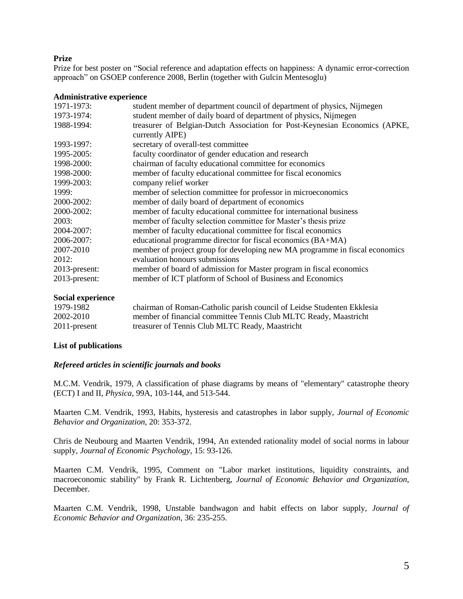# **Prize**

Prize for best poster on "Social reference and adaptation effects on happiness: A dynamic error-correction approach" on GSOEP conference 2008, Berlin (together with Gulcin Mentesoglu)

## **Administrative experience**

| 1971-1973:    | student member of department council of department of physics, Nijmegen                       |
|---------------|-----------------------------------------------------------------------------------------------|
| 1973-1974:    | student member of daily board of department of physics, Nijmegen                              |
| 1988-1994:    | treasurer of Belgian-Dutch Association for Post-Keynesian Economics (APKE,<br>currently AIPE) |
| 1993-1997:    | secretary of overall-test committee                                                           |
| 1995-2005:    | faculty coordinator of gender education and research                                          |
| 1998-2000:    | chairman of faculty educational committee for economics                                       |
| 1998-2000:    | member of faculty educational committee for fiscal economics                                  |
| 1999-2003:    | company relief worker                                                                         |
| 1999:         | member of selection committee for professor in microeconomics                                 |
| 2000-2002:    | member of daily board of department of economics                                              |
| 2000-2002:    | member of faculty educational committee for international business                            |
| 2003:         | member of faculty selection committee for Master's thesis prize                               |
| 2004-2007:    | member of faculty educational committee for fiscal economics                                  |
| 2006-2007:    | educational programme director for fiscal economics (BA+MA)                                   |
| 2007-2010     | member of project group for developing new MA programme in fiscal economics                   |
| 2012:         | evaluation honours submissions                                                                |
| 2013-present: | member of board of admission for Master program in fiscal economics                           |
| 2013-present: | member of ICT platform of School of Business and Economics                                    |

### **Social experience**

| 1979-1982    | chairman of Roman-Catholic parish council of Leidse Studenten Ekklesia |
|--------------|------------------------------------------------------------------------|
| 2002-2010    | member of financial committee Tennis Club MLTC Ready, Maastricht       |
| 2011-present | treasurer of Tennis Club MLTC Ready, Maastricht                        |

## **List of publications**

### *Refereed articles in scientific journals and books*

M.C.M. Vendrik, 1979, A classification of phase diagrams by means of "elementary" catastrophe theory (ECT) I and II, *Physica*, 99A, 103-144, and 513-544.

Maarten C.M. Vendrik, 1993, Habits, hysteresis and catastrophes in labor supply, *Journal of Economic Behavior and Organization*, 20: 353-372.

Chris de Neubourg and Maarten Vendrik, 1994, An extended rationality model of social norms in labour supply, *Journal of Economic Psychology*, 15: 93-126.

Maarten C.M. Vendrik, 1995, Comment on "Labor market institutions, liquidity constraints, and macroeconomic stability" by Frank R. Lichtenberg, *Journal of Economic Behavior and Organization*, December.

Maarten C.M. Vendrik, 1998, Unstable bandwagon and habit effects on labor supply, *Journal of Economic Behavior and Organization*, 36: 235-255.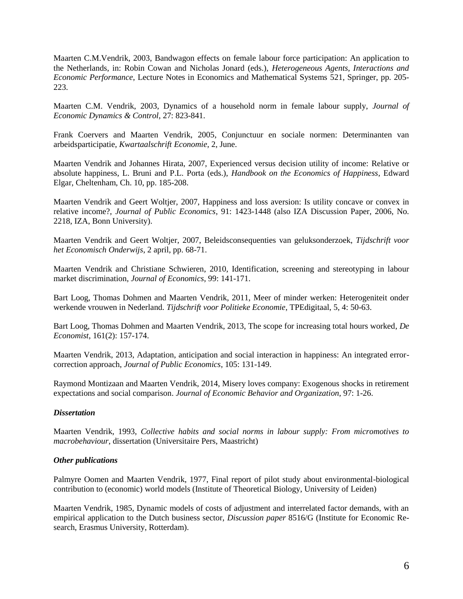Maarten C.M.Vendrik, 2003, Bandwagon effects on female labour force participation: An application to the Netherlands, in: Robin Cowan and Nicholas Jonard (eds.), *Heterogeneous Agents, Interactions and Economic Performance*, Lecture Notes in Economics and Mathematical Systems 521, Springer, pp. 205- 223.

Maarten C.M. Vendrik, 2003, Dynamics of a household norm in female labour supply, *Journal of Economic Dynamics & Control*, 27: 823-841.

Frank Coervers and Maarten Vendrik, 2005, Conjunctuur en sociale normen: Determinanten van arbeidsparticipatie, *Kwartaalschrift Economie*, 2, June.

Maarten Vendrik and Johannes Hirata, 2007, Experienced versus decision utility of income: Relative or absolute happiness, L. Bruni and P.L. Porta (eds.), *Handbook on the Economics of Happiness*, Edward Elgar, Cheltenham, Ch. 10, pp. 185-208.

Maarten Vendrik and Geert Woltjer, 2007, Happiness and loss aversion: Is utility concave or convex in relative income?, *Journal of Public Economics*, 91: 1423-1448 (also IZA Discussion Paper, 2006, No. 2218, IZA, Bonn University).

Maarten Vendrik and Geert Woltjer, 2007, Beleidsconsequenties van geluksonderzoek, *Tijdschrift voor het Economisch Onderwijs*, 2 april, pp. 68-71.

Maarten Vendrik and Christiane Schwieren, 2010, Identification, screening and stereotyping in labour market discrimination, *Journal of Economics*, 99: 141-171.

Bart Loog, Thomas Dohmen and Maarten Vendrik, 2011, Meer of minder werken: Heterogeniteit onder werkende vrouwen in Nederland. *Tijdschrift voor Politieke Economie*, TPEdigitaal, 5, 4: 50-63.

Bart Loog, Thomas Dohmen and Maarten Vendrik, 2013, The scope for increasing total hours worked, *De Economist*, 161(2): 157-174.

Maarten Vendrik, 2013, Adaptation, anticipation and social interaction in happiness: An integrated errorcorrection approach, *Journal of Public Economics*, 105: 131-149.

Raymond Montizaan and Maarten Vendrik, 2014, Misery loves company: Exogenous shocks in retirement expectations and social comparison. *Journal of Economic Behavior and Organization*, 97: 1-26.

## *Dissertation*

Maarten Vendrik, 1993, *Collective habits and social norms in labour supply: From micromotives to macrobehaviour*, dissertation (Universitaire Pers, Maastricht)

### *Other publications*

Palmyre Oomen and Maarten Vendrik, 1977, Final report of pilot study about environmental-biological contribution to (economic) world models (Institute of Theoretical Biology, University of Leiden)

Maarten Vendrik, 1985, Dynamic models of costs of adjustment and interrelated factor demands, with an empirical application to the Dutch business sector, *Discussion paper* 8516/G (Institute for Economic Research, Erasmus University, Rotterdam).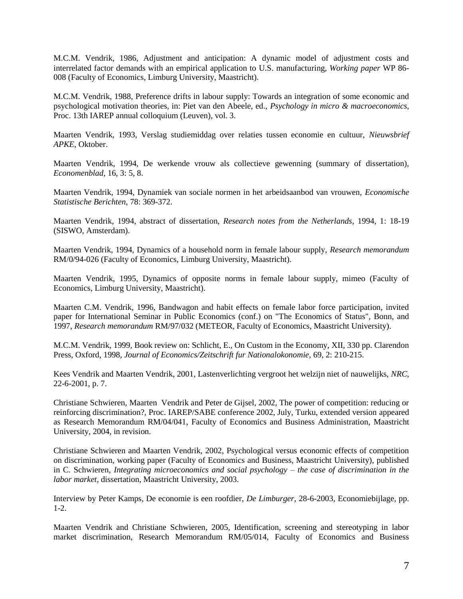M.C.M. Vendrik, 1986, Adjustment and anticipation: A dynamic model of adjustment costs and interrelated factor demands with an empirical application to U.S. manufacturing, *Working paper* WP 86- 008 (Faculty of Economics, Limburg University, Maastricht).

M.C.M. Vendrik, 1988, Preference drifts in labour supply: Towards an integration of some economic and psychological motivation theories, in: Piet van den Abeele, ed., *Psychology in micro & macroeconomics*, Proc. 13th IAREP annual colloquium (Leuven), vol. 3.

Maarten Vendrik, 1993, Verslag studiemiddag over relaties tussen economie en cultuur, *Nieuwsbrief APKE*, Oktober.

Maarten Vendrik, 1994, De werkende vrouw als collectieve gewenning (summary of dissertation), *Economenblad*, 16, 3: 5, 8.

Maarten Vendrik, 1994, Dynamiek van sociale normen in het arbeidsaanbod van vrouwen, *Economische Statistische Berichten*, 78: 369-372.

Maarten Vendrik, 1994, abstract of dissertation, *Research notes from the Netherlands*, 1994, 1: 18-19 (SISWO, Amsterdam).

Maarten Vendrik, 1994, Dynamics of a household norm in female labour supply, *Research memorandum* RM/0/94-026 (Faculty of Economics, Limburg University, Maastricht).

Maarten Vendrik, 1995, Dynamics of opposite norms in female labour supply, mimeo (Faculty of Economics, Limburg University, Maastricht).

Maarten C.M. Vendrik, 1996, Bandwagon and habit effects on female labor force participation, invited paper for International Seminar in Public Economics (conf.) on "The Economics of Status", Bonn, and 1997, *Research memorandum* RM/97/032 (METEOR, Faculty of Economics, Maastricht University).

M.C.M. Vendrik, 1999, Book review on: Schlicht, E., On Custom in the Economy, XII, 330 pp. Clarendon Press, Oxford, 1998, *Journal of Economics/Zeitschrift fur Nationalokonomie*, 69, 2: 210-215.

Kees Vendrik and Maarten Vendrik, 2001, Lastenverlichting vergroot het welzijn niet of nauwelijks, *NRC*, 22-6-2001, p. 7.

Christiane Schwieren, Maarten Vendrik and Peter de Gijsel, 2002, The power of competition: reducing or reinforcing discrimination?, Proc. IAREP/SABE conference 2002, July, Turku, extended version appeared as Research Memorandum RM/04/041, Faculty of Economics and Business Administration, Maastricht University, 2004, in revision.

Christiane Schwieren and Maarten Vendrik, 2002, Psychological versus economic effects of competition on discrimination, working paper (Faculty of Economics and Business, Maastricht University), published in C. Schwieren, *Integrating microeconomics and social psychology – the case of discrimination in the labor market*, dissertation, Maastricht University, 2003.

Interview by Peter Kamps, De economie is een roofdier, *De Limburger*, 28-6-2003, Economiebijlage, pp. 1-2.

Maarten Vendrik and Christiane Schwieren, 2005, Identification, screening and stereotyping in labor market discrimination, Research Memorandum RM/05/014, Faculty of Economics and Business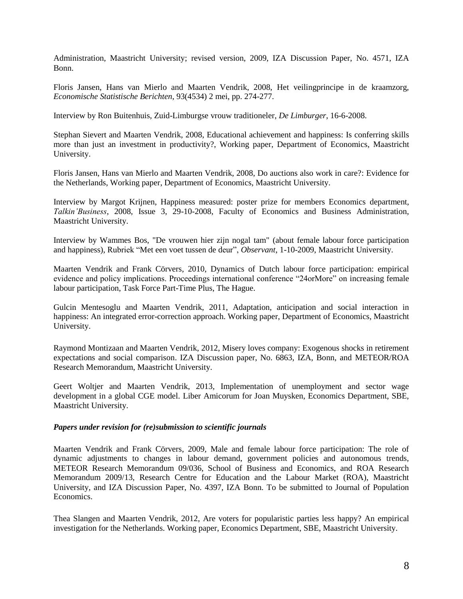Administration, Maastricht University; revised version, 2009, IZA Discussion Paper, No. 4571, IZA Bonn.

Floris Jansen, Hans van Mierlo and Maarten Vendrik, 2008, Het veilingprincipe in de kraamzorg, *Economische Statistische Berichten*, 93(4534) 2 mei, pp. 274-277.

Interview by Ron Buitenhuis, Zuid-Limburgse vrouw traditioneler, *De Limburger*, 16-6-2008.

Stephan Sievert and Maarten Vendrik, 2008, Educational achievement and happiness: Is conferring skills more than just an investment in productivity?, Working paper, Department of Economics, Maastricht University.

Floris Jansen, Hans van Mierlo and Maarten Vendrik, 2008, Do auctions also work in care?: Evidence for the Netherlands, Working paper, Department of Economics, Maastricht University.

Interview by Margot Krijnen, Happiness measured: poster prize for members Economics department, *Talkin'Business*, 2008, Issue 3, 29-10-2008, Faculty of Economics and Business Administration, Maastricht University.

Interview by Wammes Bos, "De vrouwen hier zijn nogal tam" (about female labour force participation and happiness), Rubriek "Met een voet tussen de deur", *Observant*, 1-10-2009, Maastricht University.

Maarten Vendrik and Frank Cörvers, 2010, Dynamics of Dutch labour force participation: empirical evidence and policy implications. Proceedings international conference "24orMore" on increasing female labour participation, Task Force Part-Time Plus, The Hague.

Gulcin Mentesoglu and Maarten Vendrik, 2011, Adaptation, anticipation and social interaction in happiness: An integrated error-correction approach. Working paper, Department of Economics, Maastricht University.

Raymond Montizaan and Maarten Vendrik, 2012, Misery loves company: Exogenous shocks in retirement expectations and social comparison. IZA Discussion paper, No. 6863, IZA, Bonn, and METEOR/ROA Research Memorandum, Maastricht University.

Geert Woltjer and Maarten Vendrik, 2013, Implementation of unemployment and sector wage development in a global CGE model. Liber Amicorum for Joan Muysken, Economics Department, SBE, Maastricht University.

### *Papers under revision for (re)submission to scientific journals*

Maarten Vendrik and Frank Cörvers, 2009, Male and female labour force participation: The role of dynamic adjustments to changes in labour demand, government policies and autonomous trends, METEOR Research Memorandum 09/036, School of Business and Economics, and ROA Research Memorandum 2009/13, Research Centre for Education and the Labour Market (ROA), Maastricht University, and IZA Discussion Paper, No. 4397, IZA Bonn. To be submitted to Journal of Population Economics.

Thea Slangen and Maarten Vendrik, 2012, Are voters for popularistic parties less happy? An empirical investigation for the Netherlands. Working paper, Economics Department, SBE, Maastricht University.